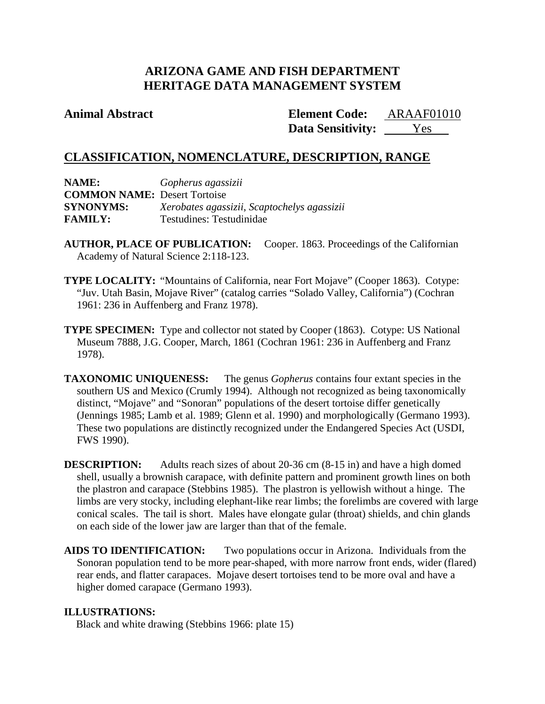### **ARIZONA GAME AND FISH DEPARTMENT HERITAGE DATA MANAGEMENT SYSTEM**

### **Animal Abstract Element Code:**

Data Sensitivity: <u>Yes</u> ARAAF01010

### **CLASSIFICATION, NOMENCLATURE, DESCRIPTION, RANGE**

| NAME:                               | Gopherus agassizii                          |
|-------------------------------------|---------------------------------------------|
| <b>COMMON NAME: Desert Tortoise</b> |                                             |
| <b>SYNONYMS:</b>                    | Xerobates agassizii, Scaptochelys agassizii |
| <b>FAMILY:</b>                      | Testudines: Testudinidae                    |

- **AUTHOR, PLACE OF PUBLICATION:** Cooper. 1863. Proceedings of the Californian Academy of Natural Science 2:118-123.
- **TYPE LOCALITY:** "Mountains of California, near Fort Mojave" (Cooper 1863). Cotype: "Juv. Utah Basin, Mojave River" (catalog carries "Solado Valley, California") (Cochran 1961: 236 in Auffenberg and Franz 1978).
- **TYPE SPECIMEN:** Type and collector not stated by Cooper (1863). Cotype: US National Museum 7888, J.G. Cooper, March, 1861 (Cochran 1961: 236 in Auffenberg and Franz 1978).
- **TAXONOMIC UNIQUENESS:** The genus *Gopherus* contains four extant species in the southern US and Mexico (Crumly 1994). Although not recognized as being taxonomically distinct, "Mojave" and "Sonoran" populations of the desert tortoise differ genetically (Jennings 1985; Lamb et al. 1989; Glenn et al. 1990) and morphologically (Germano 1993). These two populations are distinctly recognized under the Endangered Species Act (USDI, FWS 1990).

**DESCRIPTION:** Adults reach sizes of about 20-36 cm (8-15 in) and have a high domed shell, usually a brownish carapace, with definite pattern and prominent growth lines on both the plastron and carapace (Stebbins 1985). The plastron is yellowish without a hinge. The limbs are very stocky, including elephant-like rear limbs; the forelimbs are covered with large conical scales. The tail is short. Males have elongate gular (throat) shields, and chin glands on each side of the lower jaw are larger than that of the female.

**AIDS TO IDENTIFICATION:** Two populations occur in Arizona. Individuals from the Sonoran population tend to be more pear-shaped, with more narrow front ends, wider (flared) rear ends, and flatter carapaces. Mojave desert tortoises tend to be more oval and have a higher domed carapace (Germano 1993).

### **ILLUSTRATIONS:**

Black and white drawing (Stebbins 1966: plate 15)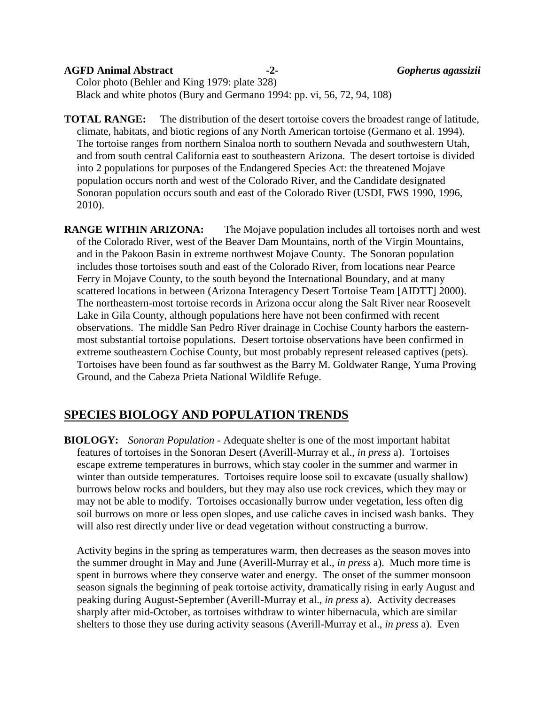#### **AGFD Animal Abstract -2-** *Gopherus agassizii*

Color photo (Behler and King 1979: plate 328) Black and white photos (Bury and Germano 1994: pp. vi, 56, 72, 94, 108)

**TOTAL RANGE:** The distribution of the desert tortoise covers the broadest range of latitude, climate, habitats, and biotic regions of any North American tortoise (Germano et al. 1994). The tortoise ranges from northern Sinaloa north to southern Nevada and southwestern Utah, and from south central California east to southeastern Arizona. The desert tortoise is divided into 2 populations for purposes of the Endangered Species Act: the threatened Mojave population occurs north and west of the Colorado River, and the Candidate designated Sonoran population occurs south and east of the Colorado River (USDI, FWS 1990, 1996, 2010).

**RANGE WITHIN ARIZONA:** The Mojave population includes all tortoises north and west of the Colorado River, west of the Beaver Dam Mountains, north of the Virgin Mountains, and in the Pakoon Basin in extreme northwest Mojave County. The Sonoran population includes those tortoises south and east of the Colorado River, from locations near Pearce Ferry in Mojave County, to the south beyond the International Boundary, and at many scattered locations in between (Arizona Interagency Desert Tortoise Team [AIDTT] 2000). The northeastern-most tortoise records in Arizona occur along the Salt River near Roosevelt Lake in Gila County, although populations here have not been confirmed with recent observations. The middle San Pedro River drainage in Cochise County harbors the easternmost substantial tortoise populations. Desert tortoise observations have been confirmed in extreme southeastern Cochise County, but most probably represent released captives (pets). Tortoises have been found as far southwest as the Barry M. Goldwater Range, Yuma Proving Ground, and the Cabeza Prieta National Wildlife Refuge.

### **SPECIES BIOLOGY AND POPULATION TRENDS**

**BIOLOGY:** *Sonoran Population* - Adequate shelter is one of the most important habitat features of tortoises in the Sonoran Desert (Averill-Murray et al., *in press* a). Tortoises escape extreme temperatures in burrows, which stay cooler in the summer and warmer in winter than outside temperatures. Tortoises require loose soil to excavate (usually shallow) burrows below rocks and boulders, but they may also use rock crevices, which they may or may not be able to modify. Tortoises occasionally burrow under vegetation, less often dig soil burrows on more or less open slopes, and use caliche caves in incised wash banks. They will also rest directly under live or dead vegetation without constructing a burrow.

Activity begins in the spring as temperatures warm, then decreases as the season moves into the summer drought in May and June (Averill-Murray et al., *in press* a). Much more time is spent in burrows where they conserve water and energy. The onset of the summer monsoon season signals the beginning of peak tortoise activity, dramatically rising in early August and peaking during August-September (Averill-Murray et al., *in press* a). Activity decreases sharply after mid-October, as tortoises withdraw to winter hibernacula, which are similar shelters to those they use during activity seasons (Averill-Murray et al., *in press* a). Even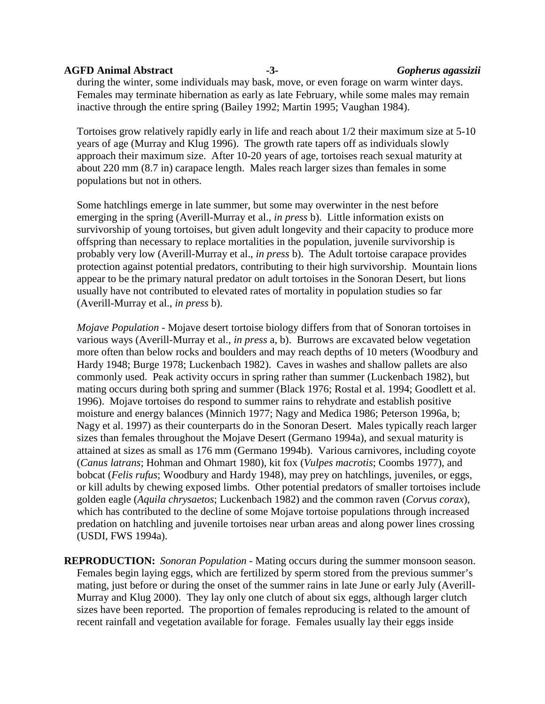#### **AGFD Animal Abstract -3-** *Gopherus agassizii*

during the winter, some individuals may bask, move, or even forage on warm winter days. Females may terminate hibernation as early as late February, while some males may remain inactive through the entire spring (Bailey 1992; Martin 1995; Vaughan 1984).

Tortoises grow relatively rapidly early in life and reach about 1/2 their maximum size at 5-10 years of age (Murray and Klug 1996). The growth rate tapers off as individuals slowly approach their maximum size. After 10-20 years of age, tortoises reach sexual maturity at about 220 mm (8.7 in) carapace length. Males reach larger sizes than females in some populations but not in others.

Some hatchlings emerge in late summer, but some may overwinter in the nest before emerging in the spring (Averill-Murray et al., *in press* b). Little information exists on survivorship of young tortoises, but given adult longevity and their capacity to produce more offspring than necessary to replace mortalities in the population, juvenile survivorship is probably very low (Averill-Murray et al., *in press* b). The Adult tortoise carapace provides protection against potential predators, contributing to their high survivorship. Mountain lions appear to be the primary natural predator on adult tortoises in the Sonoran Desert, but lions usually have not contributed to elevated rates of mortality in population studies so far (Averill-Murray et al., *in press* b).

*Mojave Population* - Mojave desert tortoise biology differs from that of Sonoran tortoises in various ways (Averill-Murray et al., *in press* a, b). Burrows are excavated below vegetation more often than below rocks and boulders and may reach depths of 10 meters (Woodbury and Hardy 1948; Burge 1978; Luckenbach 1982). Caves in washes and shallow pallets are also commonly used. Peak activity occurs in spring rather than summer (Luckenbach 1982), but mating occurs during both spring and summer (Black 1976; Rostal et al. 1994; Goodlett et al. 1996). Mojave tortoises do respond to summer rains to rehydrate and establish positive moisture and energy balances (Minnich 1977; Nagy and Medica 1986; Peterson 1996a, b; Nagy et al. 1997) as their counterparts do in the Sonoran Desert. Males typically reach larger sizes than females throughout the Mojave Desert (Germano 1994a), and sexual maturity is attained at sizes as small as 176 mm (Germano 1994b). Various carnivores, including coyote (*Canus latrans*; Hohman and Ohmart 1980), kit fox (*Vulpes macrotis*; Coombs 1977), and bobcat (*Felis rufus*; Woodbury and Hardy 1948), may prey on hatchlings, juveniles, or eggs, or kill adults by chewing exposed limbs. Other potential predators of smaller tortoises include golden eagle (*Aquila chrysaetos*; Luckenbach 1982) and the common raven (*Corvus corax*), which has contributed to the decline of some Mojave tortoise populations through increased predation on hatchling and juvenile tortoises near urban areas and along power lines crossing (USDI, FWS 1994a).

**REPRODUCTION:** *Sonoran Population* - Mating occurs during the summer monsoon season. Females begin laying eggs, which are fertilized by sperm stored from the previous summer's mating, just before or during the onset of the summer rains in late June or early July (Averill-Murray and Klug 2000). They lay only one clutch of about six eggs, although larger clutch sizes have been reported. The proportion of females reproducing is related to the amount of recent rainfall and vegetation available for forage. Females usually lay their eggs inside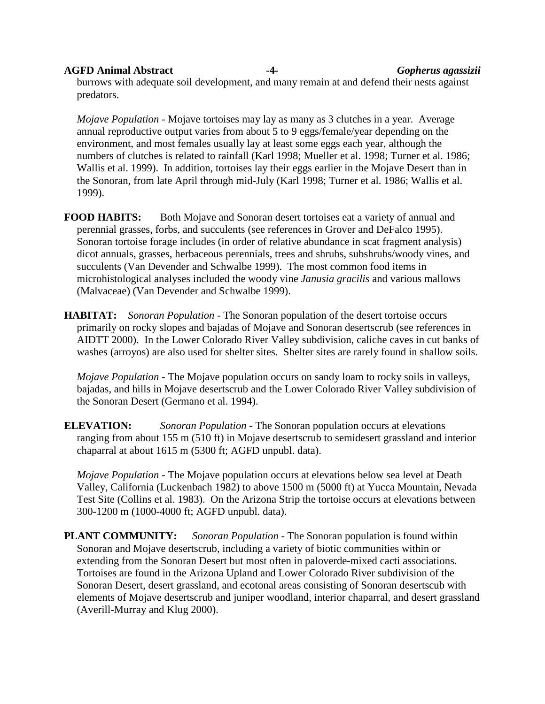# **AGFD Animal Abstract -4-** *Gopherus agassizii*

burrows with adequate soil development, and many remain at and defend their nests against predators.

*Mojave Population* - Mojave tortoises may lay as many as 3 clutches in a year. Average annual reproductive output varies from about 5 to 9 eggs/female/year depending on the environment, and most females usually lay at least some eggs each year, although the numbers of clutches is related to rainfall (Karl 1998; Mueller et al. 1998; Turner et al. 1986; Wallis et al. 1999). In addition, tortoises lay their eggs earlier in the Mojave Desert than in the Sonoran, from late April through mid-July (Karl 1998; Turner et al. 1986; Wallis et al. 1999).

**FOOD HABITS:** Both Mojave and Sonoran desert tortoises eat a variety of annual and perennial grasses, forbs, and succulents (see references in Grover and DeFalco 1995). Sonoran tortoise forage includes (in order of relative abundance in scat fragment analysis) dicot annuals, grasses, herbaceous perennials, trees and shrubs, subshrubs/woody vines, and succulents (Van Devender and Schwalbe 1999). The most common food items in microhistological analyses included the woody vine *Janusia gracilis* and various mallows (Malvaceae) (Van Devender and Schwalbe 1999).

**HABITAT:** *Sonoran Population* - The Sonoran population of the desert tortoise occurs primarily on rocky slopes and bajadas of Mojave and Sonoran desertscrub (see references in AIDTT 2000). In the Lower Colorado River Valley subdivision, caliche caves in cut banks of washes (arroyos) are also used for shelter sites. Shelter sites are rarely found in shallow soils.

*Mojave Population* - The Mojave population occurs on sandy loam to rocky soils in valleys, bajadas, and hills in Mojave desertscrub and the Lower Colorado River Valley subdivision of the Sonoran Desert (Germano et al. 1994).

**ELEVATION:** *Sonoran Population* - The Sonoran population occurs at elevations ranging from about 155 m (510 ft) in Mojave desertscrub to semidesert grassland and interior chaparral at about 1615 m (5300 ft; AGFD unpubl. data).

*Mojave Population* - The Mojave population occurs at elevations below sea level at Death Valley, California (Luckenbach 1982) to above 1500 m (5000 ft) at Yucca Mountain, Nevada Test Site (Collins et al. 1983). On the Arizona Strip the tortoise occurs at elevations between 300-1200 m (1000-4000 ft; AGFD unpubl. data).

**PLANT COMMUNITY:** *Sonoran Population* - The Sonoran population is found within Sonoran and Mojave desertscrub, including a variety of biotic communities within or extending from the Sonoran Desert but most often in paloverde-mixed cacti associations. Tortoises are found in the Arizona Upland and Lower Colorado River subdivision of the Sonoran Desert, desert grassland, and ecotonal areas consisting of Sonoran desertscub with elements of Mojave desertscrub and juniper woodland, interior chaparral, and desert grassland (Averill-Murray and Klug 2000).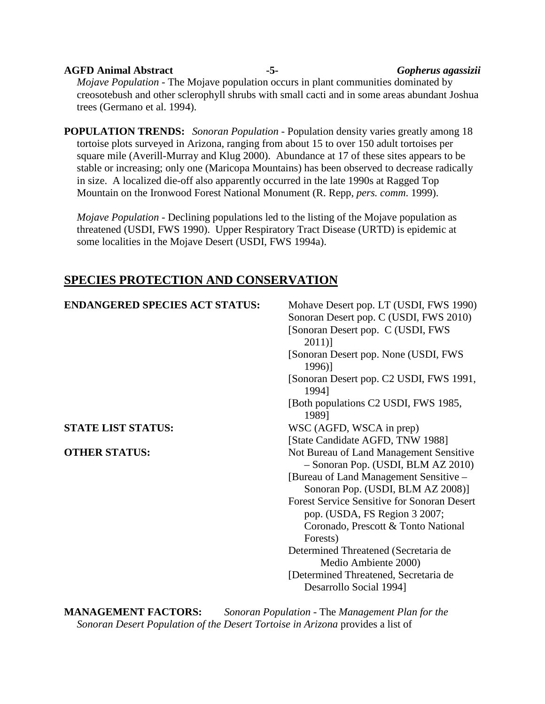### **AGFD Animal Abstract -5-** *Gopherus agassizii Mojave Population* - The Mojave population occurs in plant communities dominated by creosotebush and other sclerophyll shrubs with small cacti and in some areas abundant Joshua

**POPULATION TRENDS:** *Sonoran Population* - Population density varies greatly among 18 tortoise plots surveyed in Arizona, ranging from about 15 to over 150 adult tortoises per square mile (Averill-Murray and Klug 2000). Abundance at 17 of these sites appears to be stable or increasing; only one (Maricopa Mountains) has been observed to decrease radically in size. A localized die-off also apparently occurred in the late 1990s at Ragged Top Mountain on the Ironwood Forest National Monument (R. Repp, *pers. comm*. 1999).

*Mojave Population* - Declining populations led to the listing of the Mojave population as threatened (USDI, FWS 1990). Upper Respiratory Tract Disease (URTD) is epidemic at some localities in the Mojave Desert (USDI, FWS 1994a).

### **SPECIES PROTECTION AND CONSERVATION**

trees (Germano et al. 1994).

| <b>ENDANGERED SPECIES ACT STATUS:</b> | Mohave Desert pop. LT (USDI, FWS 1990)                                        |
|---------------------------------------|-------------------------------------------------------------------------------|
|                                       | Sonoran Desert pop. C (USDI, FWS 2010)                                        |
|                                       | [Sonoran Desert pop. C (USDI, FWS                                             |
|                                       | $2011$ ]                                                                      |
|                                       | [Sonoran Desert pop. None (USDI, FWS                                          |
|                                       | 1996)]                                                                        |
|                                       | [Sonoran Desert pop. C2 USDI, FWS 1991,<br>1994]                              |
|                                       | [Both populations C2 USDI, FWS 1985,<br>1989]                                 |
| <b>STATE LIST STATUS:</b>             | WSC (AGFD, WSCA in prep)                                                      |
|                                       | [State Candidate AGFD, TNW 1988]                                              |
| <b>OTHER STATUS:</b>                  | Not Bureau of Land Management Sensitive<br>- Sonoran Pop. (USDI, BLM AZ 2010) |
|                                       | [Bureau of Land Management Sensitive –                                        |
|                                       | Sonoran Pop. (USDI, BLM AZ 2008)]                                             |
|                                       | <b>Forest Service Sensitive for Sonoran Desert</b>                            |
|                                       | pop. (USDA, FS Region 3 2007;                                                 |
|                                       | Coronado, Prescott & Tonto National                                           |
|                                       | Forests)                                                                      |
|                                       | Determined Threatened (Secretaria de                                          |
|                                       | Medio Ambiente 2000)                                                          |
|                                       | [Determined Threatened, Secretaria de                                         |
|                                       | Desarrollo Social 1994]                                                       |

**MANAGEMENT FACTORS:** *Sonoran Population* - The *Management Plan for the Sonoran Desert Population of the Desert Tortoise in Arizona* provides a list of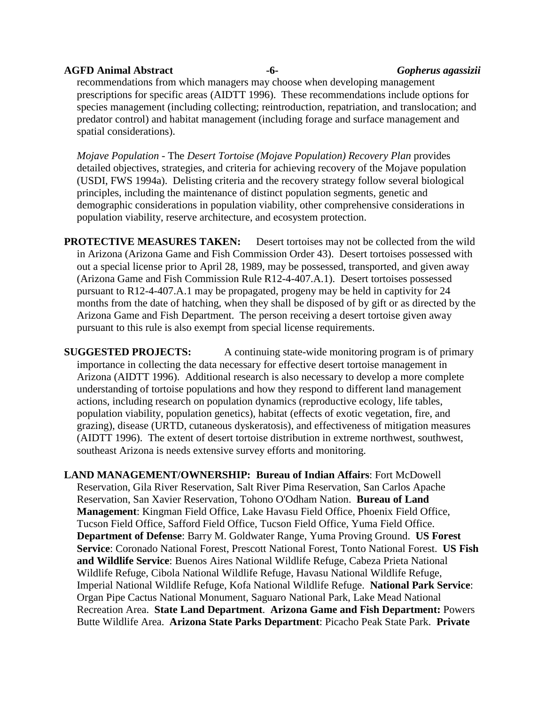## **AGFD Animal Abstract -6-** *Gopherus agassizii*

recommendations from which managers may choose when developing management prescriptions for specific areas (AIDTT 1996). These recommendations include options for species management (including collecting; reintroduction, repatriation, and translocation; and predator control) and habitat management (including forage and surface management and spatial considerations).

*Mojave Population* - The *Desert Tortoise (Mojave Population) Recovery Plan* provides detailed objectives, strategies, and criteria for achieving recovery of the Mojave population (USDI, FWS 1994a). Delisting criteria and the recovery strategy follow several biological principles, including the maintenance of distinct population segments, genetic and demographic considerations in population viability, other comprehensive considerations in population viability, reserve architecture, and ecosystem protection.

**PROTECTIVE MEASURES TAKEN:** Desert tortoises may not be collected from the wild in Arizona (Arizona Game and Fish Commission Order 43). Desert tortoises possessed with out a special license prior to April 28, 1989, may be possessed, transported, and given away (Arizona Game and Fish Commission Rule R12-4-407.A.1). Desert tortoises possessed pursuant to R12-4-407.A.1 may be propagated, progeny may be held in captivity for 24 months from the date of hatching, when they shall be disposed of by gift or as directed by the Arizona Game and Fish Department. The person receiving a desert tortoise given away pursuant to this rule is also exempt from special license requirements.

**SUGGESTED PROJECTS:** A continuing state-wide monitoring program is of primary importance in collecting the data necessary for effective desert tortoise management in Arizona (AIDTT 1996). Additional research is also necessary to develop a more complete understanding of tortoise populations and how they respond to different land management actions, including research on population dynamics (reproductive ecology, life tables, population viability, population genetics), habitat (effects of exotic vegetation, fire, and grazing), disease (URTD, cutaneous dyskeratosis), and effectiveness of mitigation measures (AIDTT 1996). The extent of desert tortoise distribution in extreme northwest, southwest, southeast Arizona is needs extensive survey efforts and monitoring.

**LAND MANAGEMENT/OWNERSHIP: Bureau of Indian Affairs**: Fort McDowell Reservation, Gila River Reservation, Salt River Pima Reservation, San Carlos Apache Reservation, San Xavier Reservation, Tohono O'Odham Nation. **Bureau of Land Management**: Kingman Field Office, Lake Havasu Field Office, Phoenix Field Office, Tucson Field Office, Safford Field Office, Tucson Field Office, Yuma Field Office. **Department of Defense**: Barry M. Goldwater Range, Yuma Proving Ground. **US Forest Service**: Coronado National Forest, Prescott National Forest, Tonto National Forest. **US Fish and Wildlife Service**: Buenos Aires National Wildlife Refuge, Cabeza Prieta National Wildlife Refuge, Cibola National Wildlife Refuge, Havasu National Wildlife Refuge, Imperial National Wildlife Refuge, Kofa National Wildlife Refuge. **National Park Service**: Organ Pipe Cactus National Monument, Saguaro National Park, Lake Mead National Recreation Area. **State Land Department**. **Arizona Game and Fish Department:** Powers Butte Wildlife Area. **Arizona State Parks Department**: Picacho Peak State Park. **Private**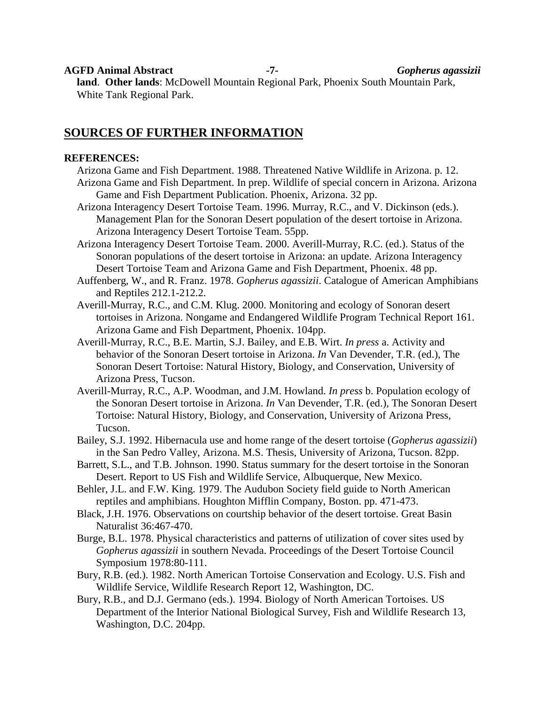**AGFD Animal Abstract -7-** *Gopherus agassizii*

**land**. **Other lands**: McDowell Mountain Regional Park, Phoenix South Mountain Park, White Tank Regional Park.

### **SOURCES OF FURTHER INFORMATION**

#### **REFERENCES:**

- Arizona Game and Fish Department. 1988. Threatened Native Wildlife in Arizona. p. 12. Arizona Game and Fish Department. In prep. Wildlife of special concern in Arizona. Arizona Game and Fish Department Publication. Phoenix, Arizona. 32 pp.
- Arizona Interagency Desert Tortoise Team. 1996. Murray, R.C., and V. Dickinson (eds.). Management Plan for the Sonoran Desert population of the desert tortoise in Arizona. Arizona Interagency Desert Tortoise Team. 55pp.
- Arizona Interagency Desert Tortoise Team. 2000. Averill-Murray, R.C. (ed.). Status of the Sonoran populations of the desert tortoise in Arizona: an update. Arizona Interagency Desert Tortoise Team and Arizona Game and Fish Department, Phoenix. 48 pp.
- Auffenberg, W., and R. Franz. 1978. *Gopherus agassizii*. Catalogue of American Amphibians and Reptiles 212.1-212.2.
- Averill-Murray, R.C., and C.M. Klug. 2000. Monitoring and ecology of Sonoran desert tortoises in Arizona. Nongame and Endangered Wildlife Program Technical Report 161. Arizona Game and Fish Department, Phoenix. 104pp.
- Averill-Murray, R.C., B.E. Martin, S.J. Bailey, and E.B. Wirt. *In press* a. Activity and behavior of the Sonoran Desert tortoise in Arizona. *In* Van Devender, T.R. (ed.), The Sonoran Desert Tortoise: Natural History, Biology, and Conservation, University of Arizona Press, Tucson.
- Averill-Murray, R.C., A.P. Woodman, and J.M. Howland. *In press* b. Population ecology of the Sonoran Desert tortoise in Arizona. *In* Van Devender, T.R. (ed.), The Sonoran Desert Tortoise: Natural History, Biology, and Conservation, University of Arizona Press, Tucson.
- Bailey, S.J. 1992. Hibernacula use and home range of the desert tortoise (*Gopherus agassizii*) in the San Pedro Valley, Arizona. M.S. Thesis, University of Arizona, Tucson. 82pp.
- Barrett, S.L., and T.B. Johnson. 1990. Status summary for the desert tortoise in the Sonoran Desert. Report to US Fish and Wildlife Service, Albuquerque, New Mexico.
- Behler, J.L. and F.W. King. 1979. The Audubon Society field guide to North American reptiles and amphibians. Houghton Mifflin Company, Boston. pp. 471-473.
- Black, J.H. 1976. Observations on courtship behavior of the desert tortoise. Great Basin Naturalist 36:467-470.
- Burge, B.L. 1978. Physical characteristics and patterns of utilization of cover sites used by *Gopherus agassizii* in southern Nevada. Proceedings of the Desert Tortoise Council Symposium 1978:80-111.
- Bury, R.B. (ed.). 1982. North American Tortoise Conservation and Ecology. U.S. Fish and Wildlife Service, Wildlife Research Report 12, Washington, DC.
- Bury, R.B., and D.J. Germano (eds.). 1994. Biology of North American Tortoises. US Department of the Interior National Biological Survey, Fish and Wildlife Research 13, Washington, D.C. 204pp.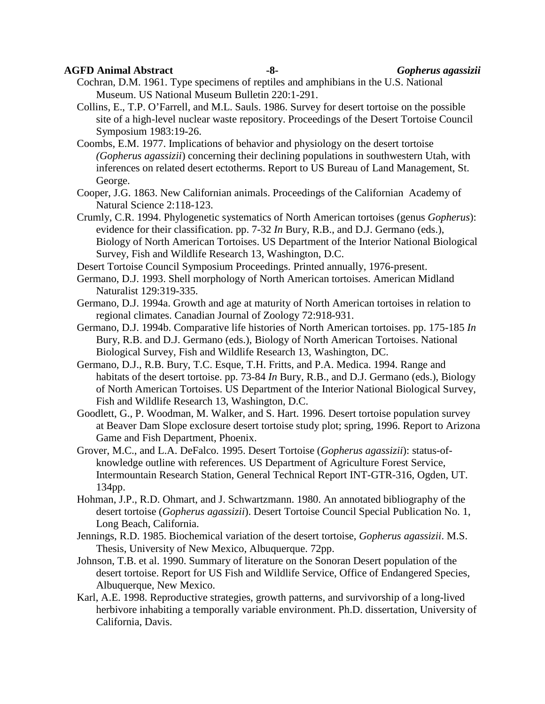#### **AGFD Animal Abstract -8-** *Gopherus agassizii*

Cochran, D.M. 1961. Type specimens of reptiles and amphibians in the U.S. National Museum. US National Museum Bulletin 220:1-291.

Collins, E., T.P. O'Farrell, and M.L. Sauls. 1986. Survey for desert tortoise on the possible site of a high-level nuclear waste repository. Proceedings of the Desert Tortoise Council Symposium 1983:19-26.

Coombs, E.M. 1977. Implications of behavior and physiology on the desert tortoise *(Gopherus agassizii*) concerning their declining populations in southwestern Utah, with inferences on related desert ectotherms. Report to US Bureau of Land Management, St. George.

Cooper, J.G. 1863. New Californian animals. Proceedings of the Californian Academy of Natural Science 2:118-123.

Crumly, C.R. 1994. Phylogenetic systematics of North American tortoises (genus *Gopherus*): evidence for their classification. pp. 7-32 *In* Bury, R.B., and D.J. Germano (eds.), Biology of North American Tortoises. US Department of the Interior National Biological Survey, Fish and Wildlife Research 13, Washington, D.C.

Desert Tortoise Council Symposium Proceedings. Printed annually, 1976-present.

Germano, D.J. 1993. Shell morphology of North American tortoises. American Midland Naturalist 129:319-335.

Germano, D.J. 1994a. Growth and age at maturity of North American tortoises in relation to regional climates. Canadian Journal of Zoology 72:918-931.

- Germano, D.J. 1994b. Comparative life histories of North American tortoises. pp. 175-185 *In* Bury, R.B. and D.J. Germano (eds.), Biology of North American Tortoises. National Biological Survey, Fish and Wildlife Research 13, Washington, DC.
- Germano, D.J., R.B. Bury, T.C. Esque, T.H. Fritts, and P.A. Medica. 1994. Range and habitats of the desert tortoise. pp. 73-84 *In* Bury, R.B., and D.J. Germano (eds.), Biology of North American Tortoises. US Department of the Interior National Biological Survey, Fish and Wildlife Research 13, Washington, D.C.

Goodlett, G., P. Woodman, M. Walker, and S. Hart. 1996. Desert tortoise population survey at Beaver Dam Slope exclosure desert tortoise study plot; spring, 1996. Report to Arizona Game and Fish Department, Phoenix.

Grover, M.C., and L.A. DeFalco. 1995. Desert Tortoise (*Gopherus agassizii*): status-ofknowledge outline with references. US Department of Agriculture Forest Service, Intermountain Research Station, General Technical Report INT-GTR-316, Ogden, UT. 134pp.

Hohman, J.P., R.D. Ohmart, and J. Schwartzmann. 1980. An annotated bibliography of the desert tortoise (*Gopherus agassizii*). Desert Tortoise Council Special Publication No. 1, Long Beach, California.

Jennings, R.D. 1985. Biochemical variation of the desert tortoise, *Gopherus agassizii*. M.S. Thesis, University of New Mexico, Albuquerque. 72pp.

Johnson, T.B. et al. 1990. Summary of literature on the Sonoran Desert population of the desert tortoise. Report for US Fish and Wildlife Service, Office of Endangered Species, Albuquerque, New Mexico.

Karl, A.E. 1998. Reproductive strategies, growth patterns, and survivorship of a long-lived herbivore inhabiting a temporally variable environment. Ph.D. dissertation, University of California, Davis.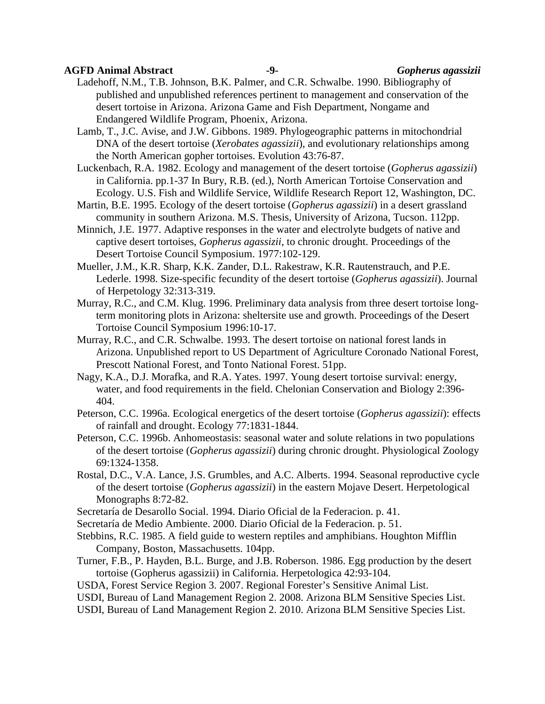#### **AGFD Animal Abstract -9-** *Gopherus agassizii*

Ladehoff, N.M., T.B. Johnson, B.K. Palmer, and C.R. Schwalbe. 1990. Bibliography of published and unpublished references pertinent to management and conservation of the desert tortoise in Arizona. Arizona Game and Fish Department, Nongame and Endangered Wildlife Program, Phoenix, Arizona.

Lamb, T., J.C. Avise, and J.W. Gibbons. 1989. Phylogeographic patterns in mitochondrial DNA of the desert tortoise (*Xerobates agassizii*), and evolutionary relationships among the North American gopher tortoises. Evolution 43:76-87.

Luckenbach, R.A. 1982. Ecology and management of the desert tortoise (*Gopherus agassizii*) in California. pp.1-37 In Bury, R.B. (ed.), North American Tortoise Conservation and Ecology. U.S. Fish and Wildlife Service, Wildlife Research Report 12, Washington, DC.

- Martin, B.E. 1995. Ecology of the desert tortoise (*Gopherus agassizii*) in a desert grassland community in southern Arizona. M.S. Thesis, University of Arizona, Tucson. 112pp.
- Minnich, J.E. 1977. Adaptive responses in the water and electrolyte budgets of native and captive desert tortoises, *Gopherus agassizii*, to chronic drought. Proceedings of the Desert Tortoise Council Symposium. 1977:102-129.
- Mueller, J.M., K.R. Sharp, K.K. Zander, D.L. Rakestraw, K.R. Rautenstrauch, and P.E. Lederle. 1998. Size-specific fecundity of the desert tortoise (*Gopherus agassizii*). Journal of Herpetology 32:313-319.
- Murray, R.C., and C.M. Klug. 1996. Preliminary data analysis from three desert tortoise longterm monitoring plots in Arizona: sheltersite use and growth. Proceedings of the Desert Tortoise Council Symposium 1996:10-17.
- Murray, R.C., and C.R. Schwalbe. 1993. The desert tortoise on national forest lands in Arizona. Unpublished report to US Department of Agriculture Coronado National Forest, Prescott National Forest, and Tonto National Forest. 51pp.
- Nagy, K.A., D.J. Morafka, and R.A. Yates. 1997. Young desert tortoise survival: energy, water, and food requirements in the field. Chelonian Conservation and Biology 2:396- 404.
- Peterson, C.C. 1996a. Ecological energetics of the desert tortoise (*Gopherus agassizii*): effects of rainfall and drought. Ecology 77:1831-1844.
- Peterson, C.C. 1996b. Anhomeostasis: seasonal water and solute relations in two populations of the desert tortoise (*Gopherus agassizii*) during chronic drought. Physiological Zoology 69:1324-1358.
- Rostal, D.C., V.A. Lance, J.S. Grumbles, and A.C. Alberts. 1994. Seasonal reproductive cycle of the desert tortoise (*Gopherus agassizii*) in the eastern Mojave Desert. Herpetological Monographs 8:72-82.
- Secretaría de Desarollo Social. 1994. Diario Oficial de la Federacion. p. 41.
- Secretaría de Medio Ambiente. 2000. Diario Oficial de la Federacion. p. 51.
- Stebbins, R.C. 1985. A field guide to western reptiles and amphibians. Houghton Mifflin Company, Boston, Massachusetts. 104pp.
- Turner, F.B., P. Hayden, B.L. Burge, and J.B. Roberson. 1986. Egg production by the desert tortoise (Gopherus agassizii) in California. Herpetologica 42:93-104.
- USDA, Forest Service Region 3. 2007. Regional Forester's Sensitive Animal List.
- USDI, Bureau of Land Management Region 2. 2008. Arizona BLM Sensitive Species List.
- USDI, Bureau of Land Management Region 2. 2010. Arizona BLM Sensitive Species List.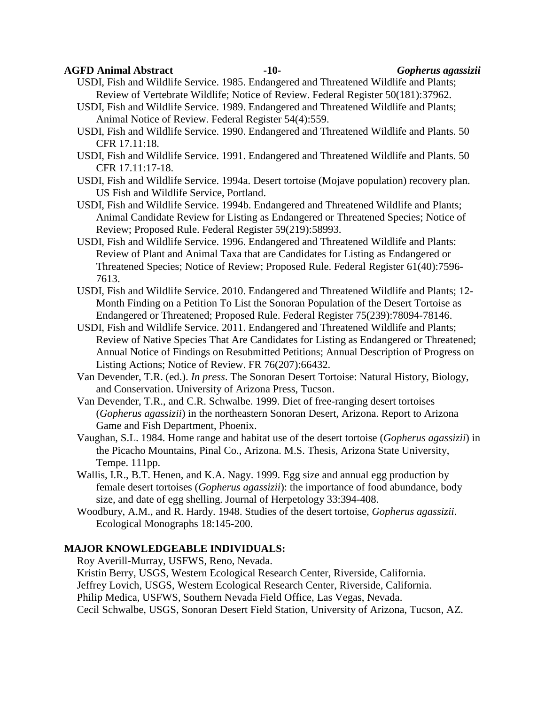#### **AGFD Animal Abstract -10-** *Gopherus agassizii*

- USDI, Fish and Wildlife Service. 1985. Endangered and Threatened Wildlife and Plants; Review of Vertebrate Wildlife; Notice of Review. Federal Register 50(181):37962.
- USDI, Fish and Wildlife Service. 1989. Endangered and Threatened Wildlife and Plants; Animal Notice of Review. Federal Register 54(4):559.
- USDI, Fish and Wildlife Service. 1990. Endangered and Threatened Wildlife and Plants. 50 CFR 17.11:18.
- USDI, Fish and Wildlife Service. 1991. Endangered and Threatened Wildlife and Plants. 50 CFR 17.11:17-18.
- USDI, Fish and Wildlife Service. 1994a. Desert tortoise (Mojave population) recovery plan. US Fish and Wildlife Service, Portland.
- USDI, Fish and Wildlife Service. 1994b. Endangered and Threatened Wildlife and Plants; Animal Candidate Review for Listing as Endangered or Threatened Species; Notice of Review; Proposed Rule. Federal Register 59(219):58993.
- USDI, Fish and Wildlife Service. 1996. Endangered and Threatened Wildlife and Plants: Review of Plant and Animal Taxa that are Candidates for Listing as Endangered or Threatened Species; Notice of Review; Proposed Rule. Federal Register 61(40):7596- 7613.
- USDI, Fish and Wildlife Service. 2010. Endangered and Threatened Wildlife and Plants; 12- Month Finding on a Petition To List the Sonoran Population of the Desert Tortoise as Endangered or Threatened; Proposed Rule. Federal Register 75(239):78094-78146.
- USDI, Fish and Wildlife Service. 2011. Endangered and Threatened Wildlife and Plants; Review of Native Species That Are Candidates for Listing as Endangered or Threatened; Annual Notice of Findings on Resubmitted Petitions; Annual Description of Progress on Listing Actions; Notice of Review. FR 76(207):66432.
- Van Devender, T.R. (ed.). *In press*. The Sonoran Desert Tortoise: Natural History, Biology, and Conservation. University of Arizona Press, Tucson.
- Van Devender, T.R., and C.R. Schwalbe. 1999. Diet of free-ranging desert tortoises (*Gopherus agassizii*) in the northeastern Sonoran Desert, Arizona. Report to Arizona Game and Fish Department, Phoenix.
- Vaughan, S.L. 1984. Home range and habitat use of the desert tortoise (*Gopherus agassizii*) in the Picacho Mountains, Pinal Co., Arizona. M.S. Thesis, Arizona State University, Tempe. 111pp.
- Wallis, I.R., B.T. Henen, and K.A. Nagy. 1999. Egg size and annual egg production by female desert tortoises (*Gopherus agassizii*): the importance of food abundance, body size, and date of egg shelling. Journal of Herpetology 33:394-408.
- Woodbury, A.M., and R. Hardy. 1948. Studies of the desert tortoise, *Gopherus agassizii*. Ecological Monographs 18:145-200.

### **MAJOR KNOWLEDGEABLE INDIVIDUALS:**

Roy Averill-Murray, USFWS, Reno, Nevada.

Kristin Berry, USGS, Western Ecological Research Center, Riverside, California.

Jeffrey Lovich, USGS, Western Ecological Research Center, Riverside, California.

Philip Medica, USFWS, Southern Nevada Field Office, Las Vegas, Nevada.

Cecil Schwalbe, USGS, Sonoran Desert Field Station, University of Arizona, Tucson, AZ.